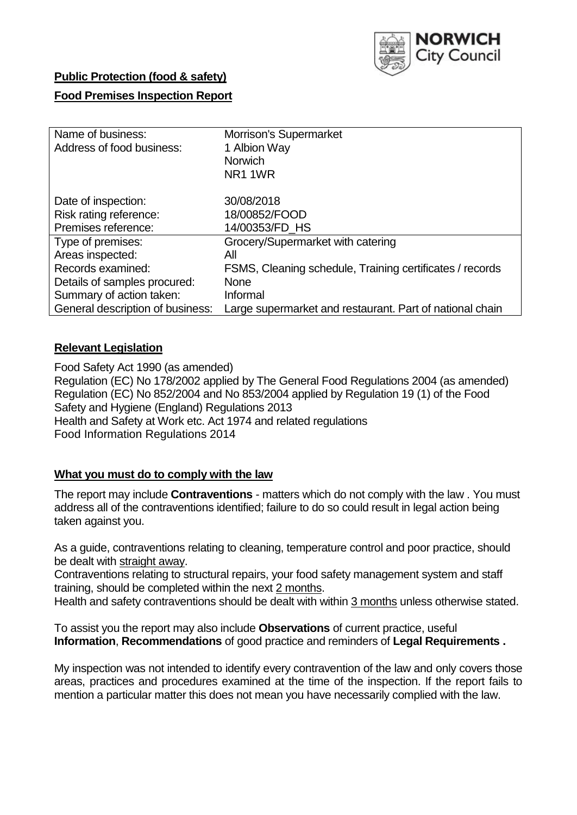

## **Public Protection (food & safety)**

### **Food Premises Inspection Report**

| Name of business:                | <b>Morrison's Supermarket</b>                            |
|----------------------------------|----------------------------------------------------------|
| Address of food business:        | 1 Albion Way                                             |
|                                  | <b>Norwich</b>                                           |
|                                  | NR <sub>1</sub> 1WR                                      |
| Date of inspection:              | 30/08/2018                                               |
| Risk rating reference:           | 18/00852/FOOD                                            |
| Premises reference:              | 14/00353/FD_HS                                           |
| Type of premises:                | Grocery/Supermarket with catering                        |
| Areas inspected:                 | All                                                      |
| Records examined:                | FSMS, Cleaning schedule, Training certificates / records |
| Details of samples procured:     | <b>None</b>                                              |
| Summary of action taken:         | Informal                                                 |
| General description of business: | Large supermarket and restaurant. Part of national chain |

### **Relevant Legislation**

Food Safety Act 1990 (as amended) Regulation (EC) No 178/2002 applied by The General Food Regulations 2004 (as amended) Regulation (EC) No 852/2004 and No 853/2004 applied by Regulation 19 (1) of the Food Safety and Hygiene (England) Regulations 2013 Health and Safety at Work etc. Act 1974 and related regulations Food Information Regulations 2014

## **What you must do to comply with the law**

The report may include **Contraventions** - matters which do not comply with the law . You must address all of the contraventions identified; failure to do so could result in legal action being taken against you.

As a guide, contraventions relating to cleaning, temperature control and poor practice, should be dealt with straight away.

Contraventions relating to structural repairs, your food safety management system and staff training, should be completed within the next 2 months.

Health and safety contraventions should be dealt with within 3 months unless otherwise stated.

To assist you the report may also include **Observations** of current practice, useful **Information**, **Recommendations** of good practice and reminders of **Legal Requirements .**

My inspection was not intended to identify every contravention of the law and only covers those areas, practices and procedures examined at the time of the inspection. If the report fails to mention a particular matter this does not mean you have necessarily complied with the law.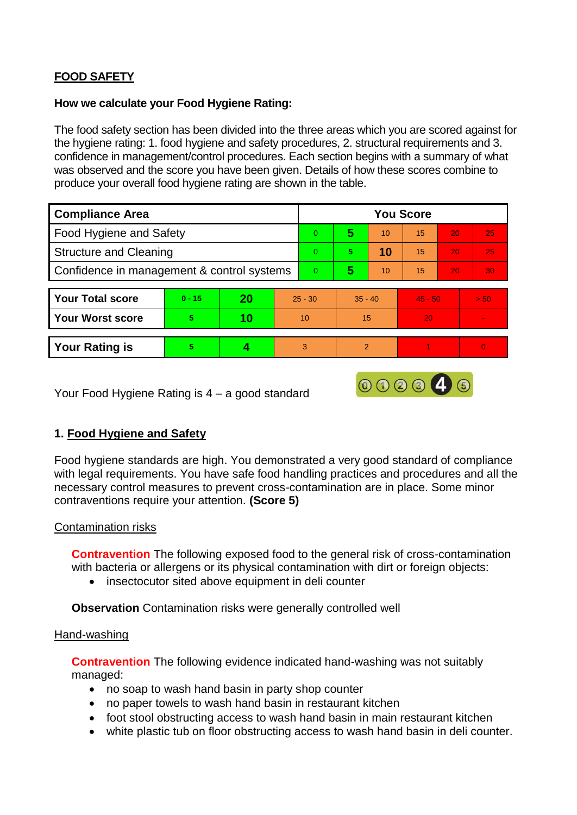# **FOOD SAFETY**

### **How we calculate your Food Hygiene Rating:**

The food safety section has been divided into the three areas which you are scored against for the hygiene rating: 1. food hygiene and safety procedures, 2. structural requirements and 3. confidence in management/control procedures. Each section begins with a summary of what was observed and the score you have been given. Details of how these scores combine to produce your overall food hygiene rating are shown in the table.

| <b>Compliance Area</b>                     |          |    |           | <b>You Score</b> |                |    |           |    |          |  |  |
|--------------------------------------------|----------|----|-----------|------------------|----------------|----|-----------|----|----------|--|--|
| Food Hygiene and Safety                    |          |    |           | $\Omega$         | 5              | 10 | 15        | 20 | 25       |  |  |
| <b>Structure and Cleaning</b>              |          |    |           | $\Omega$         | 5              | 10 | 15        | 20 | 25       |  |  |
| Confidence in management & control systems |          |    |           | $\Omega$         | 5              | 10 | 15        | 20 | 30       |  |  |
|                                            |          |    |           |                  |                |    |           |    |          |  |  |
| <b>Your Total score</b>                    | $0 - 15$ | 20 | $25 - 30$ |                  | $35 - 40$      |    | $45 - 50$ |    | > 50     |  |  |
| <b>Your Worst score</b>                    | 5        | 10 | 10        |                  | 15             |    | 20        |    |          |  |  |
|                                            |          |    |           |                  |                |    |           |    |          |  |  |
| <b>Your Rating is</b>                      | 5        |    |           | 3                | $\mathfrak{p}$ |    |           |    | $\Omega$ |  |  |

Your Food Hygiene Rating is 4 – a good standard

## **1. Food Hygiene and Safety**

Food hygiene standards are high. You demonstrated a very good standard of compliance with legal requirements. You have safe food handling practices and procedures and all the necessary control measures to prevent cross-contamination are in place. Some minor contraventions require your attention. **(Score 5)**

000046

### Contamination risks

**Contravention** The following exposed food to the general risk of cross-contamination with bacteria or allergens or its physical contamination with dirt or foreign objects:

• insectocutor sited above equipment in deli counter

**Observation** Contamination risks were generally controlled well

#### Hand-washing

**Contravention** The following evidence indicated hand-washing was not suitably managed:

- no soap to wash hand basin in party shop counter
- no paper towels to wash hand basin in restaurant kitchen
- foot stool obstructing access to wash hand basin in main restaurant kitchen
- white plastic tub on floor obstructing access to wash hand basin in deli counter.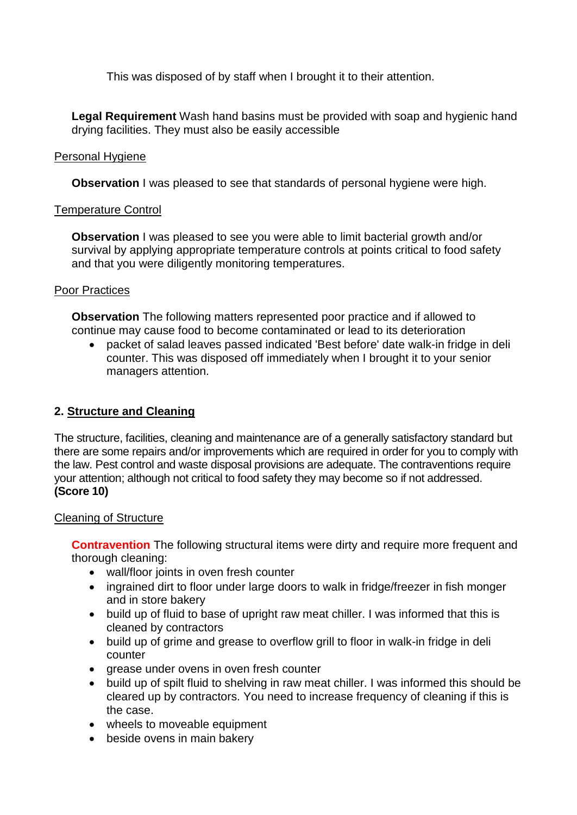This was disposed of by staff when I brought it to their attention.

**Legal Requirement** Wash hand basins must be provided with soap and hygienic hand drying facilities. They must also be easily accessible

### Personal Hygiene

**Observation** I was pleased to see that standards of personal hygiene were high.

### Temperature Control

**Observation** I was pleased to see you were able to limit bacterial growth and/or survival by applying appropriate temperature controls at points critical to food safety and that you were diligently monitoring temperatures.

### Poor Practices

**Observation** The following matters represented poor practice and if allowed to continue may cause food to become contaminated or lead to its deterioration

 packet of salad leaves passed indicated 'Best before' date walk-in fridge in deli counter. This was disposed off immediately when I brought it to your senior managers attention.

## **2. Structure and Cleaning**

The structure, facilities, cleaning and maintenance are of a generally satisfactory standard but there are some repairs and/or improvements which are required in order for you to comply with the law. Pest control and waste disposal provisions are adequate. The contraventions require your attention; although not critical to food safety they may become so if not addressed. **(Score 10)**

## Cleaning of Structure

**Contravention** The following structural items were dirty and require more frequent and thorough cleaning:

- wall/floor joints in oven fresh counter
- ingrained dirt to floor under large doors to walk in fridge/freezer in fish monger and in store bakery
- build up of fluid to base of upright raw meat chiller. I was informed that this is cleaned by contractors
- build up of grime and grease to overflow grill to floor in walk-in fridge in deli counter
- grease under ovens in oven fresh counter
- build up of spilt fluid to shelving in raw meat chiller. I was informed this should be cleared up by contractors. You need to increase frequency of cleaning if this is the case.
- wheels to moveable equipment
- beside ovens in main bakery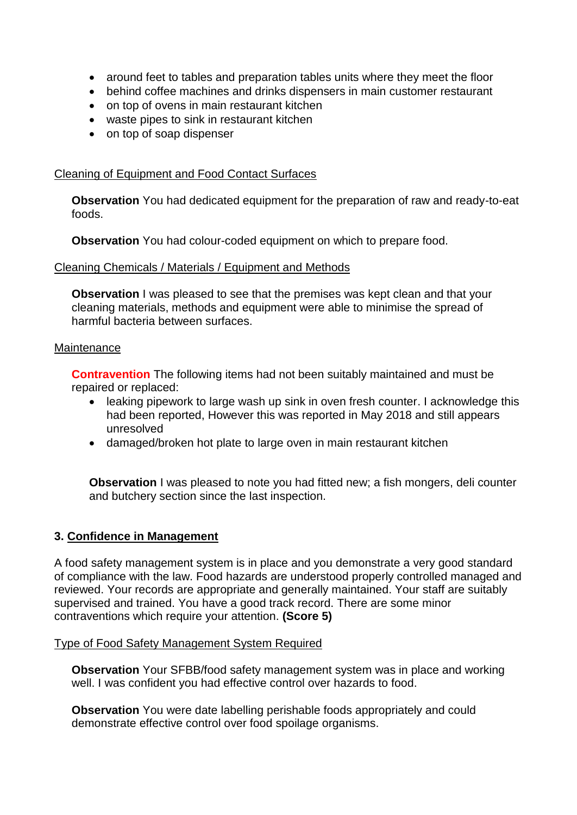- around feet to tables and preparation tables units where they meet the floor
- behind coffee machines and drinks dispensers in main customer restaurant
- on top of ovens in main restaurant kitchen
- waste pipes to sink in restaurant kitchen
- on top of soap dispenser

### Cleaning of Equipment and Food Contact Surfaces

**Observation** You had dedicated equipment for the preparation of raw and ready-to-eat foods.

**Observation** You had colour-coded equipment on which to prepare food.

#### Cleaning Chemicals / Materials / Equipment and Methods

**Observation** I was pleased to see that the premises was kept clean and that your cleaning materials, methods and equipment were able to minimise the spread of harmful bacteria between surfaces.

#### **Maintenance**

**Contravention** The following items had not been suitably maintained and must be repaired or replaced:

- leaking pipework to large wash up sink in oven fresh counter. I acknowledge this had been reported, However this was reported in May 2018 and still appears unresolved
- damaged/broken hot plate to large oven in main restaurant kitchen

**Observation** I was pleased to note you had fitted new; a fish mongers, deli counter and butchery section since the last inspection.

#### **3. Confidence in Management**

A food safety management system is in place and you demonstrate a very good standard of compliance with the law. Food hazards are understood properly controlled managed and reviewed. Your records are appropriate and generally maintained. Your staff are suitably supervised and trained. You have a good track record. There are some minor contraventions which require your attention. **(Score 5)**

#### Type of Food Safety Management System Required

**Observation** Your SFBB/food safety management system was in place and working well. I was confident you had effective control over hazards to food.

**Observation** You were date labelling perishable foods appropriately and could demonstrate effective control over food spoilage organisms.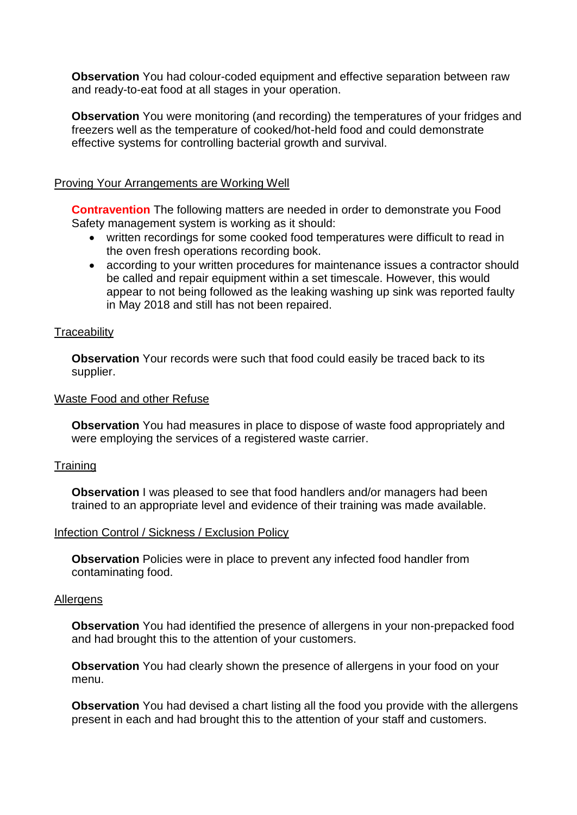**Observation** You had colour-coded equipment and effective separation between raw and ready-to-eat food at all stages in your operation.

**Observation** You were monitoring (and recording) the temperatures of your fridges and freezers well as the temperature of cooked/hot-held food and could demonstrate effective systems for controlling bacterial growth and survival.

#### Proving Your Arrangements are Working Well

**Contravention** The following matters are needed in order to demonstrate you Food Safety management system is working as it should:

- written recordings for some cooked food temperatures were difficult to read in the oven fresh operations recording book.
- according to your written procedures for maintenance issues a contractor should be called and repair equipment within a set timescale. However, this would appear to not being followed as the leaking washing up sink was reported faulty in May 2018 and still has not been repaired.

#### **Traceability**

**Observation** Your records were such that food could easily be traced back to its supplier.

#### Waste Food and other Refuse

**Observation** You had measures in place to dispose of waste food appropriately and were employing the services of a registered waste carrier.

#### **Training**

**Observation** I was pleased to see that food handlers and/or managers had been trained to an appropriate level and evidence of their training was made available.

#### Infection Control / Sickness / Exclusion Policy

**Observation** Policies were in place to prevent any infected food handler from contaminating food.

#### **Allergens**

**Observation** You had identified the presence of allergens in your non-prepacked food and had brought this to the attention of your customers.

**Observation** You had clearly shown the presence of allergens in your food on your menu.

**Observation** You had devised a chart listing all the food you provide with the allergens present in each and had brought this to the attention of your staff and customers.